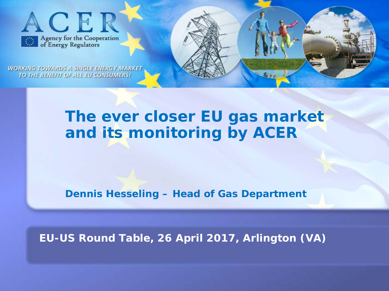

**WORKING TOWARDS A SINGLE ENERGY MARKET** TO THE BENEFIT OF ALL EU CONSUMERS!

# **The ever closer EU gas market and its monitoring by ACER**

**Dennis Hesseling – Head of Gas Department**

**EU-US Round Table, 26 April 2017, Arlington (VA)**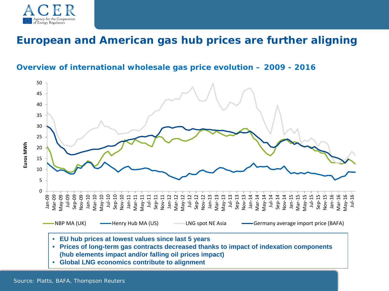

### **European and American gas hub prices are further aligning**

### **Overview of international wholesale gas price evolution – 2009 - 2016**



- **Prices of long-term gas contracts decreased thanks to impact of indexation components (hub elements impact and/or falling oil prices impact)**
- **Global LNG economics contribute to alignment**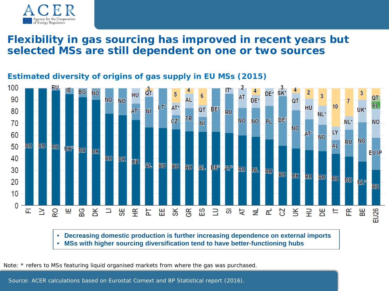

### **Flexibility in gas sourcing has improved in recent years but selected MSs are still dependent on one or two sources**

#### 100 **BG** SK<sup>\*</sup> DE\* ٧О HU AT QT 90 **NO NO** DE\* AL QT **AL HU** 10 AT<sup>®</sup> **QT** BE\* UK\* 80  $AT^*$  $\overline{\mathsf{M}}$ **RU** NL\* **TR** DE\* **NO NO**  $CZ^*$ PL. **NO** 70 NL\* **NI NO** LY  $AT^*$ 60 **NO NO RU AL** RU RU I 50 **RO** UƘª **RU** DK **EU IP** 40 **RU DK** HR **AL** RU **RU RU** al I DE<sup>2</sup> AT° **RU NL** 30 RU **RU UK** RU RU ru I **NO** 20 NL® RU 10 0 붇  $\geq$ щ တ္တ 도 띪 옷 띥  $\exists$ 띪 EU<sub>26</sub> 证 ဥ  $\gtrsim$ Ξ ₩ ¥ СS<br>Е တ হ 로 8  $\leq$ 루 咒 ᄇ 뚠

### **Estimated diversity of origins of gas supply in EU MSs (2015)**

• **Decreasing domestic production is further increasing dependence on external imports** • **MSs with higher sourcing diversification tend to have better-functioning hubs** 

Note: \* refers to MSs featuring liquid organised markets from where the gas was purchased.

Source: ACER calculations based on Eurostat Comext and BP Statistical report (2016).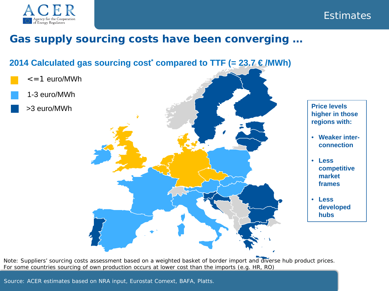



## **Gas supply sourcing costs have been converging …**

### **2014 Calculated gas sourcing cost<sup>\*</sup> compared to TTF (= 23.7 €/MWh)**

- $\epsilon$  = 1 euro/MWh
- 1-3 euro/MWh
- >3 euro/MWh





- **Weaker interconnection**
- **Less competitive market frames**
- **Less developed hubs**

Note: Suppliers' sourcing costs assessment based on a weighted basket of border import and diverse hub product prices. For some countries sourcing of own production occurs at lower cost than the imports (e.g. HR, RO)

Source: ACER estimates based on NRA input, Eurostat Comext, BAFA, Platts.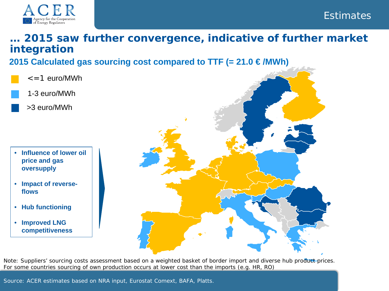

### **Estimates**

### **… 2015 saw further convergence, indicative of further market integration 2015 Calculated gas sourcing cost compared to TTF (= 21.0 € /MWh)**

- $\epsilon$  = 1 euro/MWh
	- 1-3 euro/MWh
	- >3 euro/MWh

- **Influence of lower oil price and gas oversupply**
- **Impact of reverseflows**
- **Hub functioning**
- **Improved LNG competitiveness**



Note: Suppliers' sourcing costs assessment based on a weighted basket of border import and diverse hub product-prices. For some countries sourcing of own production occurs at lower cost than the imports (e.g. HR, RO)

Source: ACER estimates based on NRA input, Eurostat Comext, BAFA, Platts.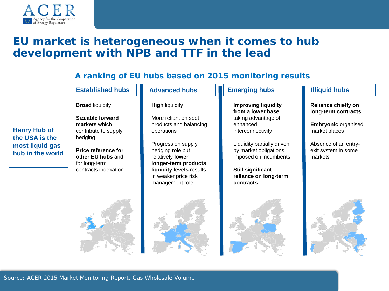

**Henry Hub of the USA is the most liquid gas hub in the world** 

## **EU market is heterogeneous when it comes to hub development with NPB and TTF in the lead**

### **A ranking of EU hubs based on 2015 monitoring results**

#### **Established hubs**

**Broad** liquidity

**Sizeable forward markets** which contribute to supply hedging

**Price reference for other EU hubs** and for long-term contracts indexation

#### **Advanced hubs**

#### **High** liquidity

More reliant on spot products and balancing operations

Progress on supply hedging role but relatively **lower longer-term products liquidity levels** results in weaker price risk management role

#### Emerging hubs **Illiquid hubs**

**Improving liquidity from a lower base**  taking advantage of enhanced interconnectivity

Liquidity partially driven by market obligations imposed on incumbents

**Still significant reliance on long-term contracts**



**Reliance chiefly on long-term contracts**

**Embryonic** organised market places

Absence of an entryexit system in some markets

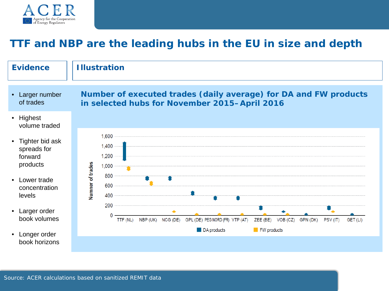

## **TTF and NBP are the leading hubs in the EU in size and depth**

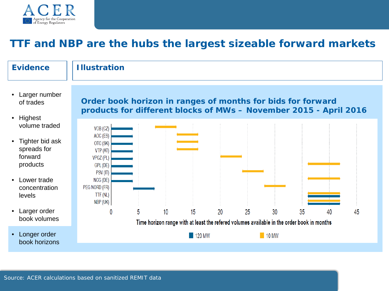

## **TTF and NBP are the hubs the largest sizeable forward markets**

#### **Evidence**

### **Illustration**

- Larger number of trades
- Highest volume traded
- Tighter bid ask spreads for forward products
- Lower trade concentration levels
- Larger order book volumes
- Longer order book horizons

### **Order book horizon in ranges of months for bids for forward products for different blocks of MWs – November 2015 - April 2016**